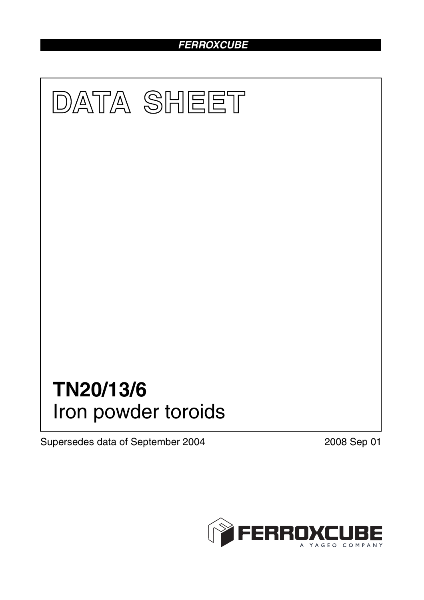# *FERROXCUBE*



Supersedes data of September 2004 2008 Sep 01

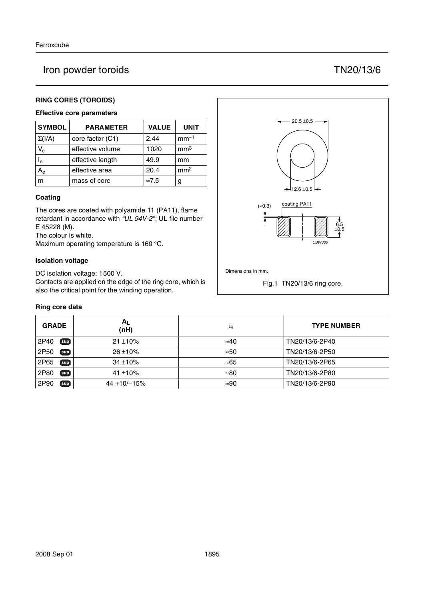# Iron powder toroids TN20/13/6

# **RING CORES (TOROIDS)**

## **Effective core parameters**

| <b>SYMBOL</b>           | <b>PARAMETER</b> | <b>VALUE</b>  | <b>UNIT</b>     |
|-------------------------|------------------|---------------|-----------------|
| $\Sigma(I/A)$           | core factor (C1) | 2.44          | $mm-1$          |
| $V_{e}$                 | effective volume | 1020          | mm <sup>3</sup> |
| $\mathsf{I}_\mathsf{e}$ | effective length | 49.9          | mm              |
| $A_{e}$                 | effective area   | 20.4          | mm <sup>2</sup> |
| m                       | mass of core     | $\approx 7.5$ | g               |

### **Coating**

The cores are coated with polyamide 11 (PA11), flame retardant in accordance with *"UL 94V-2"*; UL file number E 45228 (M).

The colour is white.

Maximum operating temperature is 160 °C.

### **Isolation voltage**

DC isolation voltage: 1500 V.

Contacts are applied on the edge of the ring core, which is also the critical point for the winding operation.

### **Ring core data**

| <b>GRADE</b>           | $A_L$<br>(nH)  | μi           | <b>TYPE NUMBER</b> |
|------------------------|----------------|--------------|--------------------|
| 2P40<br>$[\sup]$       | $21 \pm 10\%$  | $\approx 40$ | TN20/13/6-2P40     |
| 2P50<br>[sup]          | $26 \pm 10\%$  | $\approx 50$ | TN20/13/6-2P50     |
| 2P65<br>$sup$          | $34 + 10%$     | ≈65          | TN20/13/6-2P65     |
| 2P80<br>$\mathbf{sup}$ | 41 $\pm$ 10%   | $\approx 80$ | TN20/13/6-2P80     |
| 2P90<br>$sup$          | $44 + 10/-15%$ | $\approx 90$ | TN20/13/6-2P90     |